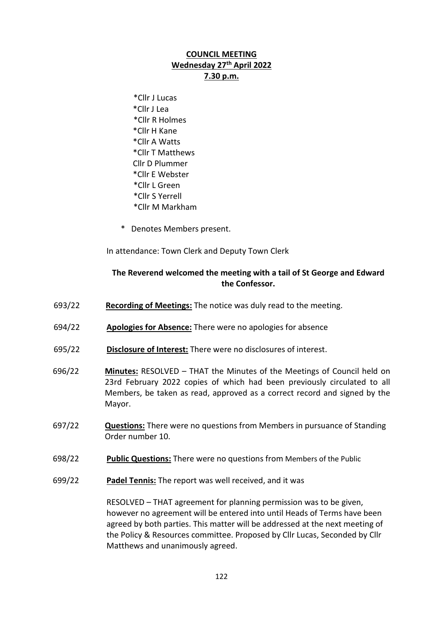## **COUNCIL MEETING Wednesday 27th April 2022 7.30 p.m.**

- \*Cllr J Lucas \*Cllr J Lea \*Cllr R Holmes \*Cllr H Kane \*Cllr A Watts \*Cllr T Matthews Cllr D Plummer \*Cllr E Webster \*Cllr L Green \*Cllr S Yerrell \*Cllr M Markham
- \* Denotes Members present.

In attendance: Town Clerk and Deputy Town Clerk

## **The Reverend welcomed the meeting with a tail of St George and Edward the Confessor.**

- 693/22 **Recording of Meetings:** The notice was duly read to the meeting.
- 694/22 **Apologies for Absence:** There were no apologies for absence
- 695/22 **Disclosure of Interest:** There were no disclosures of interest.
- 696/22 **Minutes:** RESOLVED THAT the Minutes of the Meetings of Council held on 23rd February 2022 copies of which had been previously circulated to all Members, be taken as read, approved as a correct record and signed by the Mayor.
- 697/22 **Questions:** There were no questions from Members in pursuance of Standing Order number 10.
- 698/22 **Public Questions:** There were no questions from Members of the Public
- 699/22 **Padel Tennis:** The report was well received, and it was

RESOLVED – THAT agreement for planning permission was to be given, however no agreement will be entered into until Heads of Terms have been agreed by both parties. This matter will be addressed at the next meeting of the Policy & Resources committee. Proposed by Cllr Lucas, Seconded by Cllr Matthews and unanimously agreed.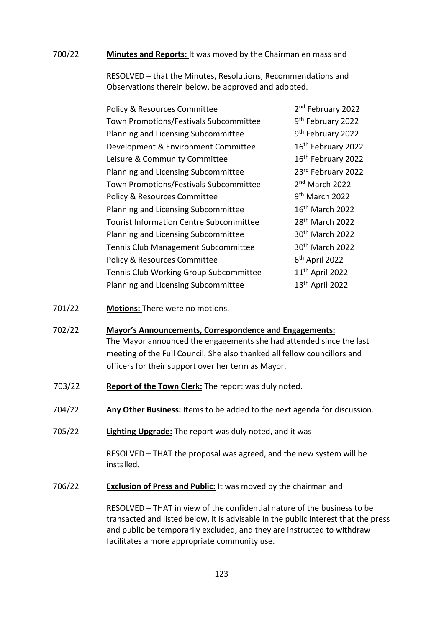#### 700/22 **Minutes and Reports:** It was moved by the Chairman en mass and

RESOLVED – that the Minutes, Resolutions, Recommendations and Observations therein below, be approved and adopted.

| Policy & Resources Committee                   | 2 <sup>nd</sup> February 2022 |
|------------------------------------------------|-------------------------------|
| Town Promotions/Festivals Subcommittee         | 9 <sup>th</sup> February 2022 |
| Planning and Licensing Subcommittee            | 9 <sup>th</sup> February 2022 |
| Development & Environment Committee            | 16th February 2022            |
| Leisure & Community Committee                  | 16th February 2022            |
| Planning and Licensing Subcommittee            | 23rd February 2022            |
| Town Promotions/Festivals Subcommittee         | 2 <sup>nd</sup> March 2022    |
| Policy & Resources Committee                   | 9 <sup>th</sup> March 2022    |
| Planning and Licensing Subcommittee            | 16 <sup>th</sup> March 2022   |
| <b>Tourist Information Centre Subcommittee</b> | 28 <sup>th</sup> March 2022   |
| Planning and Licensing Subcommittee            | 30 <sup>th</sup> March 2022   |
| Tennis Club Management Subcommittee            | 30 <sup>th</sup> March 2022   |
| Policy & Resources Committee                   | $6th$ April 2022              |
| Tennis Club Working Group Subcommittee         | 11 <sup>th</sup> April 2022   |
| Planning and Licensing Subcommittee            | 13 <sup>th</sup> April 2022   |

- 701/22 **Motions:** There were no motions.
- 702/22 **Mayor's Announcements, Correspondence and Engagements:** The Mayor announced the engagements she had attended since the last meeting of the Full Council. She also thanked all fellow councillors and officers for their support over her term as Mayor.
- 703/22 **Report of the Town Clerk:** The report was duly noted.
- 704/22 **Any Other Business:** Items to be added to the next agenda for discussion.
- 705/22 **Lighting Upgrade:** The report was duly noted, and it was

RESOLVED – THAT the proposal was agreed, and the new system will be installed.

706/22 **Exclusion of Press and Public:** It was moved by the chairman and

RESOLVED – THAT in view of the confidential nature of the business to be transacted and listed below, it is advisable in the public interest that the press and public be temporarily excluded, and they are instructed to withdraw facilitates a more appropriate community use.